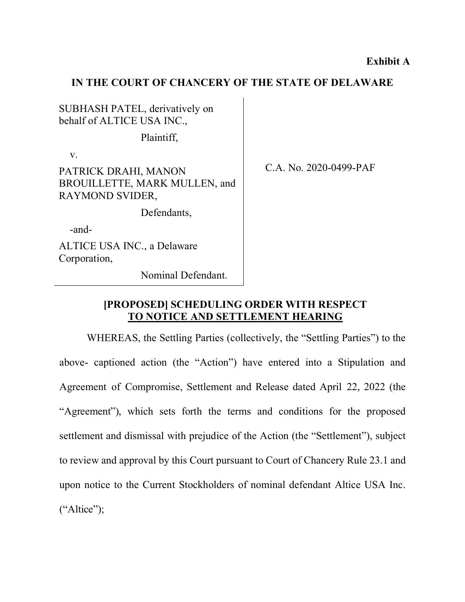## **IN THE COURT OF CHANCERY OF THE STATE OF DELAWARE**

SUBHASH PATEL, derivatively on behalf of ALTICE USA INC.,

Plaintiff,

v.

PATRICK DRAHI, MANON BROUILLETTE, MARK MULLEN, and RAYMOND SVIDER,

Defendants,

-and-

ALTICE USA INC., a Delaware Corporation,

Nominal Defendant.

C.A. No. 2020-0499-PAF

## **[PROPOSED] SCHEDULING ORDER WITH RESPECT TO NOTICE AND SETTLEMENT HEARING**

WHEREAS, the Settling Parties (collectively, the "Settling Parties") to the above- captioned action (the "Action") have entered into a Stipulation and Agreement of Compromise, Settlement and Release dated April 22, 2022 (the "Agreement"), which sets forth the terms and conditions for the proposed settlement and dismissal with prejudice of the Action (the "Settlement"), subject to review and approval by this Court pursuant to Court of Chancery Rule 23.1 and upon notice to the Current Stockholders of nominal defendant Altice USA Inc.  $("Altice");$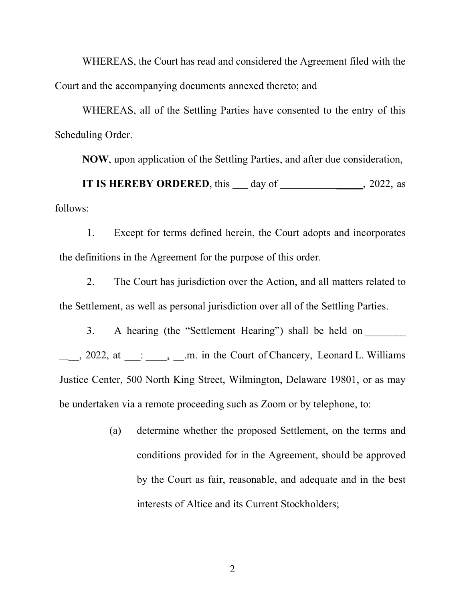WHEREAS, the Court has read and considered the Agreement filed with the Court and the accompanying documents annexed thereto; and

WHEREAS, all of the Settling Parties have consented to the entry of this Scheduling Order.

**NOW**, upon application of the Settling Parties, and after due consideration,

**IT IS HEREBY ORDERED**, this day of 2022, as follows:

1. Except for terms defined herein, the Court adopts and incorporates the definitions in the Agreement for the purpose of this order.

2. The Court has jurisdiction over the Action, and all matters related to the Settlement, as well as personal jurisdiction over all of the Settling Parties.

3. A hearing (the "Settlement Hearing") shall be held on  $\frac{1}{2}$ , 2022, at  $\frac{1}{2}$ :  $\frac{1}{2}$ ,  $\frac{1}{2}$  m. in the Court of Chancery, Leonard L. Williams Justice Center, 500 North King Street, Wilmington, Delaware 19801, or as may be undertaken via a remote proceeding such as Zoom or by telephone, to:

> (a) determine whether the proposed Settlement, on the terms and conditions provided for in the Agreement, should be approved by the Court as fair, reasonable, and adequate and in the best interests of Altice and its Current Stockholders;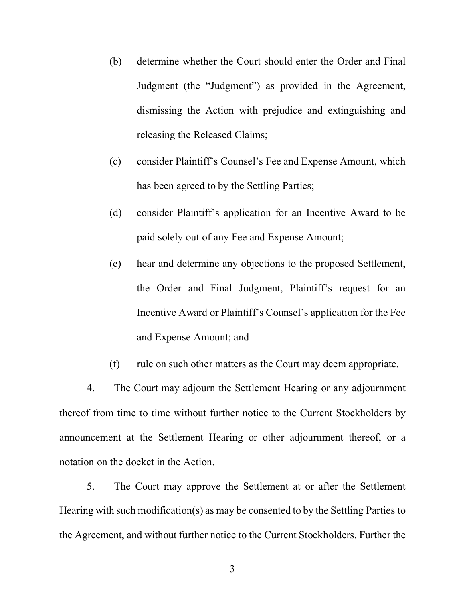- (b) determine whether the Court should enter the Order and Final Judgment (the "Judgment") as provided in the Agreement, dismissing the Action with prejudice and extinguishing and releasing the Released Claims;
- (c) consider Plaintiff's Counsel's Fee and Expense Amount, which has been agreed to by the Settling Parties;
- (d) consider Plaintiff's application for an Incentive Award to be paid solely out of any Fee and Expense Amount;
- (e) hear and determine any objections to the proposed Settlement, the Order and Final Judgment, Plaintiff's request for an Incentive Award or Plaintiff's Counsel's application for the Fee and Expense Amount; and
- (f) rule on such other matters as the Court may deem appropriate.

4. The Court may adjourn the Settlement Hearing or any adjournment thereof from time to time without further notice to the Current Stockholders by announcement at the Settlement Hearing or other adjournment thereof, or a notation on the docket in the Action.

5. The Court may approve the Settlement at or after the Settlement Hearing with such modification(s) as may be consented to by the Settling Parties to the Agreement, and without further notice to the Current Stockholders. Further the

3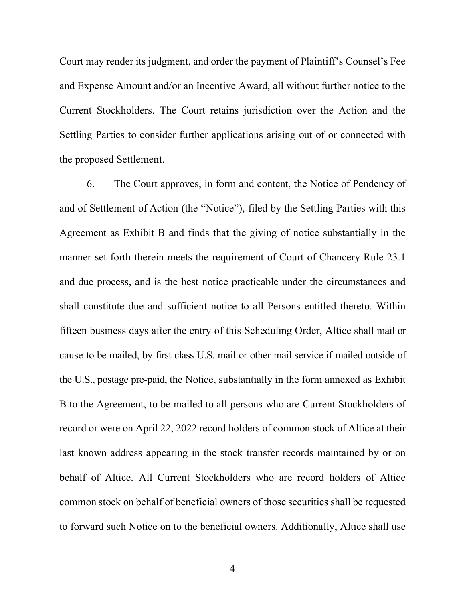Court may render its judgment, and order the payment of Plaintiff's Counsel's Fee and Expense Amount and/or an Incentive Award, all without further notice to the Current Stockholders. The Court retains jurisdiction over the Action and the Settling Parties to consider further applications arising out of or connected with the proposed Settlement.

6. The Court approves, in form and content, the Notice of Pendency of and of Settlement of Action (the "Notice"), filed by the Settling Parties with this Agreement as Exhibit B and finds that the giving of notice substantially in the manner set forth therein meets the requirement of Court of Chancery Rule 23.1 and due process, and is the best notice practicable under the circumstances and shall constitute due and sufficient notice to all Persons entitled thereto. Within fifteen business days after the entry of this Scheduling Order, Altice shall mail or cause to be mailed, by first class U.S. mail or other mail service if mailed outside of the U.S., postage pre-paid, the Notice, substantially in the form annexed as Exhibit B to the Agreement, to be mailed to all persons who are Current Stockholders of record or were on April 22, 2022 record holders of common stock of Altice at their last known address appearing in the stock transfer records maintained by or on behalf of Altice. All Current Stockholders who are record holders of Altice common stock on behalf of beneficial owners of those securities shall be requested to forward such Notice on to the beneficial owners. Additionally, Altice shall use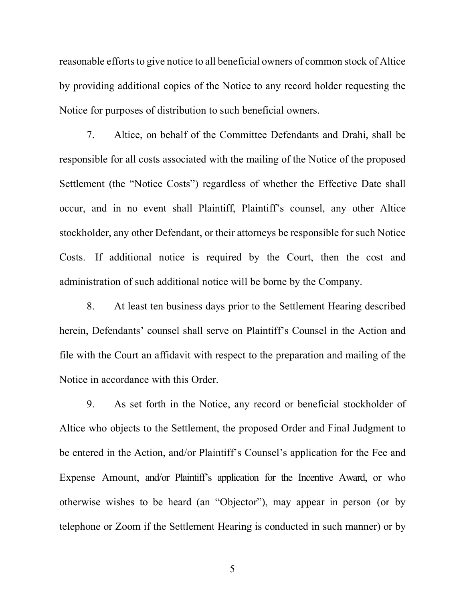reasonable efforts to give notice to all beneficial owners of common stock of Altice by providing additional copies of the Notice to any record holder requesting the Notice for purposes of distribution to such beneficial owners.

7. Altice, on behalf of the Committee Defendants and Drahi, shall be responsible for all costs associated with the mailing of the Notice of the proposed Settlement (the "Notice Costs") regardless of whether the Effective Date shall occur, and in no event shall Plaintiff, Plaintiff's counsel, any other Altice stockholder, any other Defendant, or their attorneys be responsible for such Notice Costs. If additional notice is required by the Court, then the cost and administration of such additional notice will be borne by the Company.

8. At least ten business days prior to the Settlement Hearing described herein, Defendants' counsel shall serve on Plaintiff's Counsel in the Action and file with the Court an affidavit with respect to the preparation and mailing of the Notice in accordance with this Order.

9. As set forth in the Notice, any record or beneficial stockholder of Altice who objects to the Settlement, the proposed Order and Final Judgment to be entered in the Action, and/or Plaintiff's Counsel's application for the Fee and Expense Amount, and/or Plaintiff's application for the Incentive Award, or who otherwise wishes to be heard (an "Objector"), may appear in person (or by telephone or Zoom if the Settlement Hearing is conducted in such manner) or by

5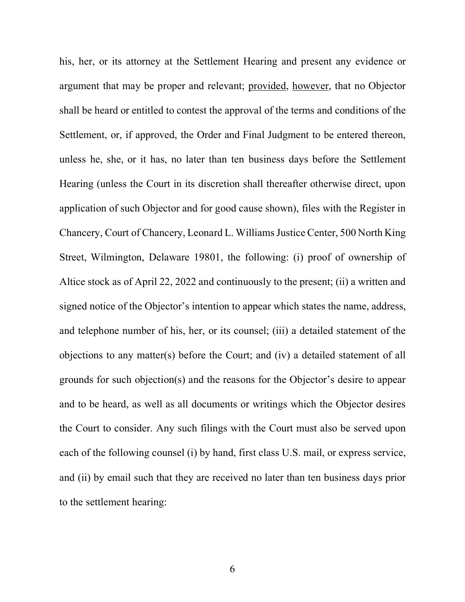his, her, or its attorney at the Settlement Hearing and present any evidence or argument that may be proper and relevant; provided, however, that no Objector shall be heard or entitled to contest the approval of the terms and conditions of the Settlement, or, if approved, the Order and Final Judgment to be entered thereon, unless he, she, or it has, no later than ten business days before the Settlement Hearing (unless the Court in its discretion shall thereafter otherwise direct, upon application of such Objector and for good cause shown), files with the Register in Chancery, Court of Chancery, Leonard L. Williams Justice Center, 500 North King Street, Wilmington, Delaware 19801, the following: (i) proof of ownership of Altice stock as of April 22, 2022 and continuously to the present; (ii) a written and signed notice of the Objector's intention to appear which states the name, address, and telephone number of his, her, or its counsel; (iii) a detailed statement of the objections to any matter(s) before the Court; and (iv) a detailed statement of all grounds for such objection(s) and the reasons for the Objector's desire to appear and to be heard, as well as all documents or writings which the Objector desires the Court to consider. Any such filings with the Court must also be served upon each of the following counsel (i) by hand, first class U.S. mail, or express service, and (ii) by email such that they are received no later than ten business days prior to the settlement hearing: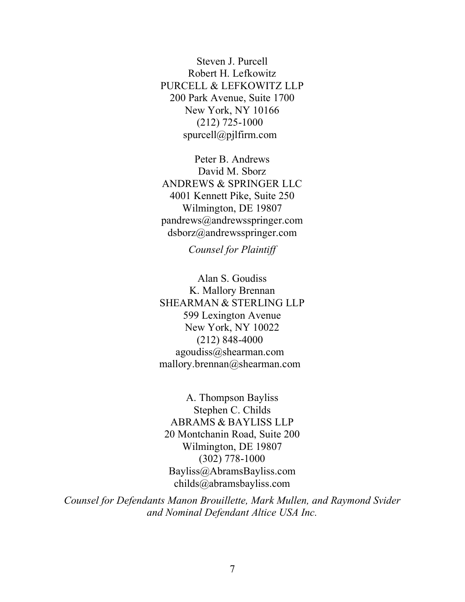Steven J. Purcell Robert H. Lefkowitz PURCELL & LEFKOWITZ LLP 200 Park Avenue, Suite 1700 New York, NY 10166 (212) 725-1000 spurcell@pjlfirm.com

Peter B. Andrews David M. Sborz ANDREWS & SPRINGER LLC 4001 Kennett Pike, Suite 250 Wilmington, DE 19807 pandrews@andrewsspringer.com dsborz@andrewsspringer.com

*Counsel for Plaintiff*

Alan S. Goudiss K. Mallory Brennan SHEARMAN & STERLING LLP 599 Lexington Avenue New York, NY 10022 (212) 848-4000 agoudiss@shearman.com mallory.brennan@shearman.com

A. Thompson Bayliss Stephen C. Childs ABRAMS & BAYLISS LLP 20 Montchanin Road, Suite 200 Wilmington, DE 19807 (302) 778-1000 Bayliss@AbramsBayliss.com childs@abramsbayliss.com

*Counsel for Defendants Manon Brouillette, Mark Mullen, and Raymond Svider and Nominal Defendant Altice USA Inc.*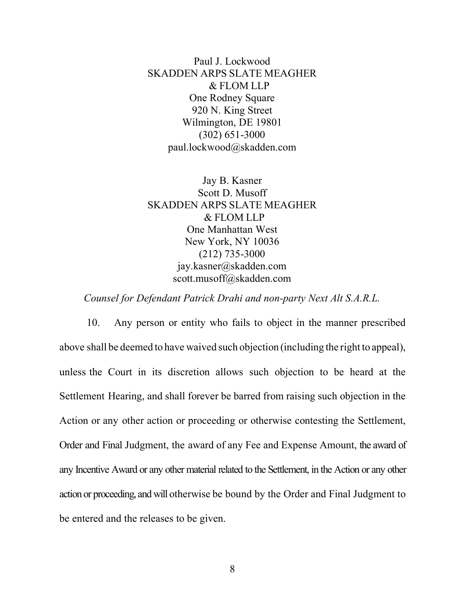Paul J. Lockwood SKADDEN ARPS SLATE MEAGHER & FLOM LLP One Rodney Square 920 N. King Street Wilmington, DE 19801 (302) 651-3000 paul.lockwood@skadden.com

Jay B. Kasner Scott D. Musoff SKADDEN ARPS SLATE MEAGHER & FLOM LLP One Manhattan West New York, NY 10036 (212) 735-3000 jay.kasner@skadden.com scott.musoff@skadden.com

*Counsel for Defendant Patrick Drahi and non-party Next Alt S.A.R.L.*

10. Any person or entity who fails to object in the manner prescribed above shall be deemed to have waived such objection (including the right to appeal), unless the Court in its discretion allows such objection to be heard at the Settlement Hearing, and shall forever be barred from raising such objection in the Action or any other action or proceeding or otherwise contesting the Settlement, Order and Final Judgment, the award of any Fee and Expense Amount, the award of any Incentive Award or any other material related to the Settlement, in the Action or any other action or proceeding, and will otherwise be bound by the Order and Final Judgment to be entered and the releases to be given.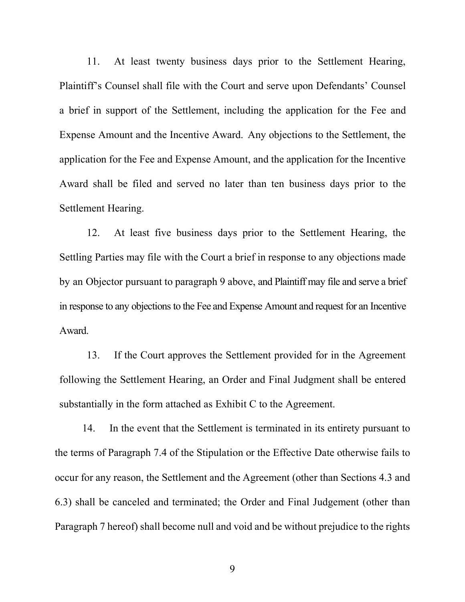11. At least twenty business days prior to the Settlement Hearing, Plaintiff's Counsel shall file with the Court and serve upon Defendants' Counsel a brief in support of the Settlement, including the application for the Fee and Expense Amount and the Incentive Award. Any objections to the Settlement, the application for the Fee and Expense Amount, and the application for the Incentive Award shall be filed and served no later than ten business days prior to the Settlement Hearing.

12. At least five business days prior to the Settlement Hearing, the Settling Parties may file with the Court a brief in response to any objections made by an Objector pursuant to paragraph 9 above, and Plaintiff may file and serve a brief in response to any objections to the Fee and Expense Amount and request for an Incentive Award.

13. If the Court approves the Settlement provided for in the Agreement following the Settlement Hearing, an Order and Final Judgment shall be entered substantially in the form attached as Exhibit C to the Agreement.

14. In the event that the Settlement is terminated in its entirety pursuant to the terms of Paragraph 7.4 of the Stipulation or the Effective Date otherwise fails to occur for any reason, the Settlement and the Agreement (other than Sections 4.3 and 6.3) shall be canceled and terminated; the Order and Final Judgement (other than Paragraph 7 hereof) shall become null and void and be without prejudice to the rights

9